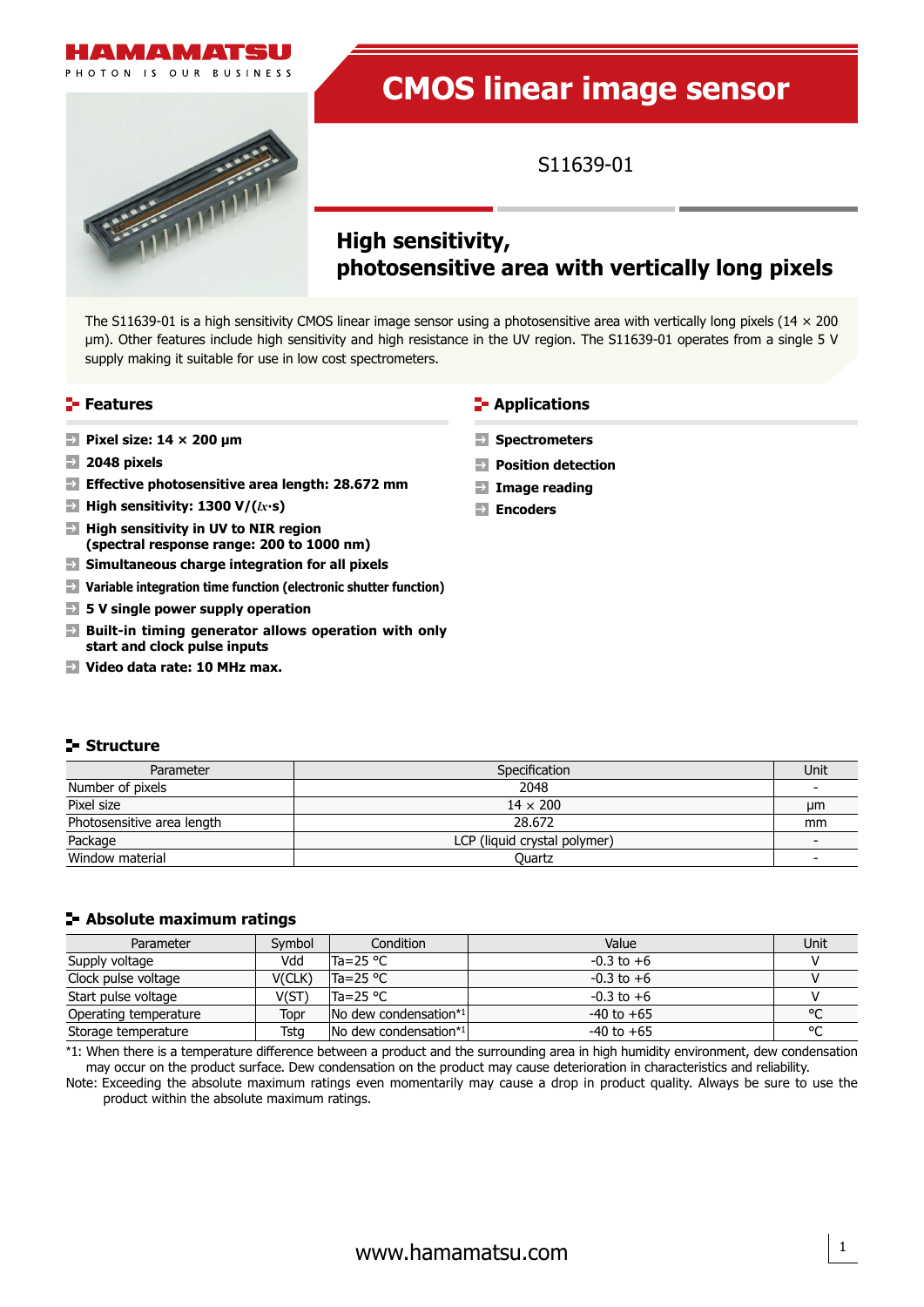# <u>ИДМАТ!</u>

PHOTON IS OUR BUSINESS

# **CMOS linear image sensor**

S11639-01

# **High sensitivity, photosensitive area with vertically long pixels**

The S11639-01 is a high sensitivity CMOS linear image sensor using a photosensitive area with vertically long pixels ( $14 \times 200$ um). Other features include high sensitivity and high resistance in the UV region. The S11639-01 operates from a single 5 V supply making it suitable for use in low cost spectrometers.

- **Pixel size: 14 × 200 um**
- 
- **Effective photosensitive area length: 28.672 mm Image reading**
- **High sensitivity: 1300 V/(***lx***·s) Encoders**
- **High sensitivity in UV to NIR region (spectral response range: 200 to 1000 nm)**
- **Simultaneous charge integration for all pixels**
- **Variable integration time function (electronic shutter function)**
- **5 V single power supply operation**
- **Built-in timing generator allows operation with only start and clock pulse inputs**
- **Video data rate: 10 MHz max.**

# **Features CONSIDERING CONSIDERING THE EXPLOSURE THE EXPLOSURE THE EXPLOSURE THE EXPLOSURE THE EXPLOSURE THE EXPLOSURE THE EXPLOSURE THE EXPLOSURE THE EXPLOSURE THE EXPLOSURE THE EXPLOSURE THE EXPLOSURE THE EXPLOSURE THE**

- **Spectrometers**
- **2048 pixels Position detection**
	-
	-

# **Structure**

| Parameter                  | Specification                | Unit |
|----------------------------|------------------------------|------|
| Number of pixels           | 2048                         |      |
| Pixel size                 | $14 \times 200$              | μm   |
| Photosensitive area length | 28.672                       | mm   |
| Package                    | LCP (liquid crystal polymer) |      |
| Window material            | Ouartz                       |      |

# **Absolute maximum ratings**

| Parameter             | Symbol | Condition                                 | Value          | Unit    |
|-----------------------|--------|-------------------------------------------|----------------|---------|
| Supply voltage        | Vdd    | Ta=25 °C                                  | $-0.3$ to $+6$ |         |
| Clock pulse voltage   | V(CLK) | lTa=25 °C l                               | $-0.3$ to $+6$ |         |
| Start pulse voltage   | V(ST)  | lTa=25 °C                                 | $-0.3$ to $+6$ |         |
| Operating temperature | Topr   | $\sqrt{N}$ dew condensation* <sup>1</sup> | $-40$ to $+65$ | $\circ$ |
| Storage temperature   | Tsta   | No dew condensation*1                     | $-40$ to $+65$ | $\circ$ |

\*1: When there is a temperature difference between a product and the surrounding area in high humidity environment, dew condensation may occur on the product surface. Dew condensation on the product may cause deterioration in characteristics and reliability.

Note: Exceeding the absolute maximum ratings even momentarily may cause a drop in product quality. Always be sure to use the product within the absolute maximum ratings.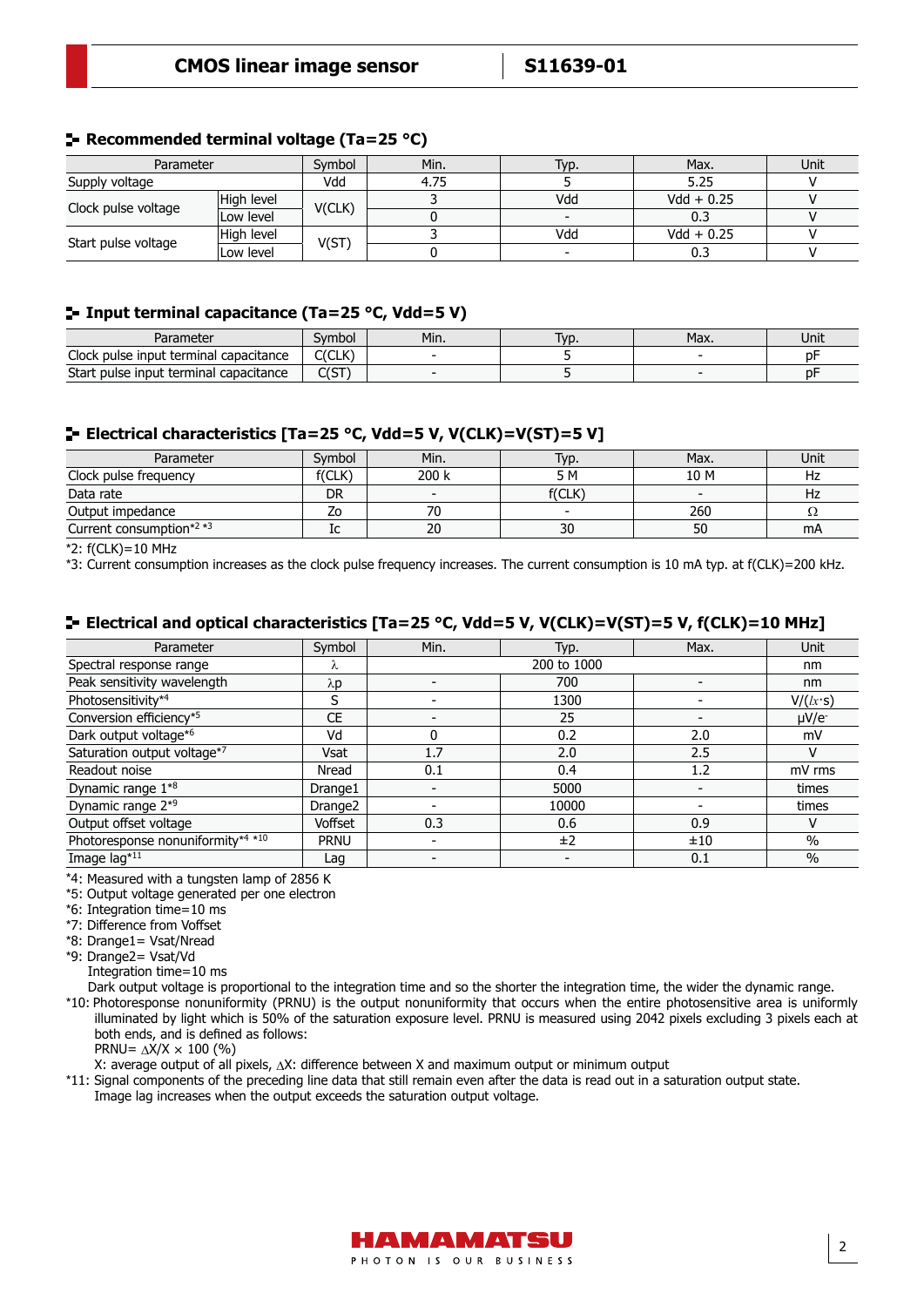# **Recommended terminal voltage (Ta=25 °C)**

| Parameter           |            | Symbol | Min. | Typ.                     | Max.         | Unit |
|---------------------|------------|--------|------|--------------------------|--------------|------|
| Supply voltage      |            | Vdd    | 4.75 |                          | 5.25         |      |
|                     | High level | V(CLK) |      | Vdd                      | $Vdd + 0.25$ |      |
| Clock pulse voltage | Low level  |        |      | $\overline{\phantom{0}}$ | 0.3          |      |
| Start pulse voltage | High level | V(ST   |      | Vdd                      | $Vdd + 0.25$ |      |
|                     | Low level  |        |      |                          | 0.3          |      |

# **Input terminal capacitance (Ta=25 °C, Vdd=5 V)**

| Parameter                              | pymbol     | Min. | Typ. | Max. | Unit |
|----------------------------------------|------------|------|------|------|------|
| Clock pulse input terminal capacitance | C(CLK)     |      |      |      |      |
| Start pulse input terminal capacitance | CCT<br>ぃ◡╹ |      |      |      | Ωľ   |

# **Electrical characteristics [Ta=25 °C, Vdd=5 V, V(CLK)=V(ST)=5 V]**

| Parameter                                        | Svmbol | Min.                     | Typ.                     | Max.                     | Unit           |
|--------------------------------------------------|--------|--------------------------|--------------------------|--------------------------|----------------|
| Clock pulse frequency                            | f(CLK) | 200 k                    | 5 M                      | 10 M                     | H <sub>2</sub> |
| Data rate                                        | DR     | $\overline{\phantom{0}}$ | f(CLK)                   | $\overline{\phantom{0}}$ | Hz             |
| Output impedance                                 |        |                          | $\overline{\phantom{0}}$ | 260                      | 77             |
| Current consumption <sup><math>*2*3</math></sup> | TC     | 20                       | 30                       | 50                       | mA             |

\*2: f(CLK)=10 MHz

\*3: Current consumption increases as the clock pulse frequency increases. The current consumption is 10 mA typ. at f(CLK)=200 kHz.

# **Electrical and optical characteristics [Ta=25 °C, Vdd=5 V, V(CLK)=V(ST)=5 V, f(CLK)=10 MHz]**

| Parameter                         | Symbol              | Min. | Typ.        | Max. | Unit          |
|-----------------------------------|---------------------|------|-------------|------|---------------|
| Spectral response range           | Λ                   |      | 200 to 1000 |      | nm            |
| Peak sensitivity wavelength       | λp                  |      | 700         |      | nm            |
| Photosensitivity*4                | S                   |      | 1300        |      | V/(lx·s)      |
| Conversion efficiency*5           | <b>CE</b>           |      | 25          |      | $\mu$ V/e-    |
| Dark output voltage*6             | Vd                  | 0    | 0.2         | 2.0  | mV            |
| Saturation output voltage*7       | Vsat                | 1.7  | 2.0         | 2.5  |               |
| Readout noise                     | Nread               | 0.1  | 0.4         | 1.2  | mV rms        |
| Dynamic range 1 <sup>*8</sup>     | Drange1             |      | 5000        |      | times         |
| Dynamic range 2 <sup>*9</sup>     | Drange <sub>2</sub> |      | 10000       |      | times         |
| Output offset voltage             | Voffset             | 0.3  | 0.6         | 0.9  | ٧             |
| Photoresponse nonuniformity*4 *10 | <b>PRNU</b>         |      | ±2          | ±10  | $\frac{0}{0}$ |
| Image lag*11                      | Laq                 |      |             | 0.1  | $\%$          |

\*4: Measured with a tungsten lamp of 2856 K

\*5: Output voltage generated per one electron

\*6: Integration time=10 ms

\*7: Difference from Voffset

\*8: Drange1= Vsat/Nread

\*9: Drange2= Vsat/Vd Integration time=10 ms

Dark output voltage is proportional to the integration time and so the shorter the integration time, the wider the dynamic range.

\*10: Photoresponse nonuniformity (PRNU) is the output nonuniformity that occurs when the entire photosensitive area is uniformly illuminated by light which is 50% of the saturation exposure level. PRNU is measured using 2042 pixels excluding 3 pixels each at both ends, and is defined as follows:

PRNU=  $\Delta X/X \times 100$  (%)

X: average output of all pixels, ∆X: difference between X and maximum output or minimum output

\*11: Signal components of the preceding line data that still remain even after the data is read out in a saturation output state. Image lag increases when the output exceeds the saturation output voltage.

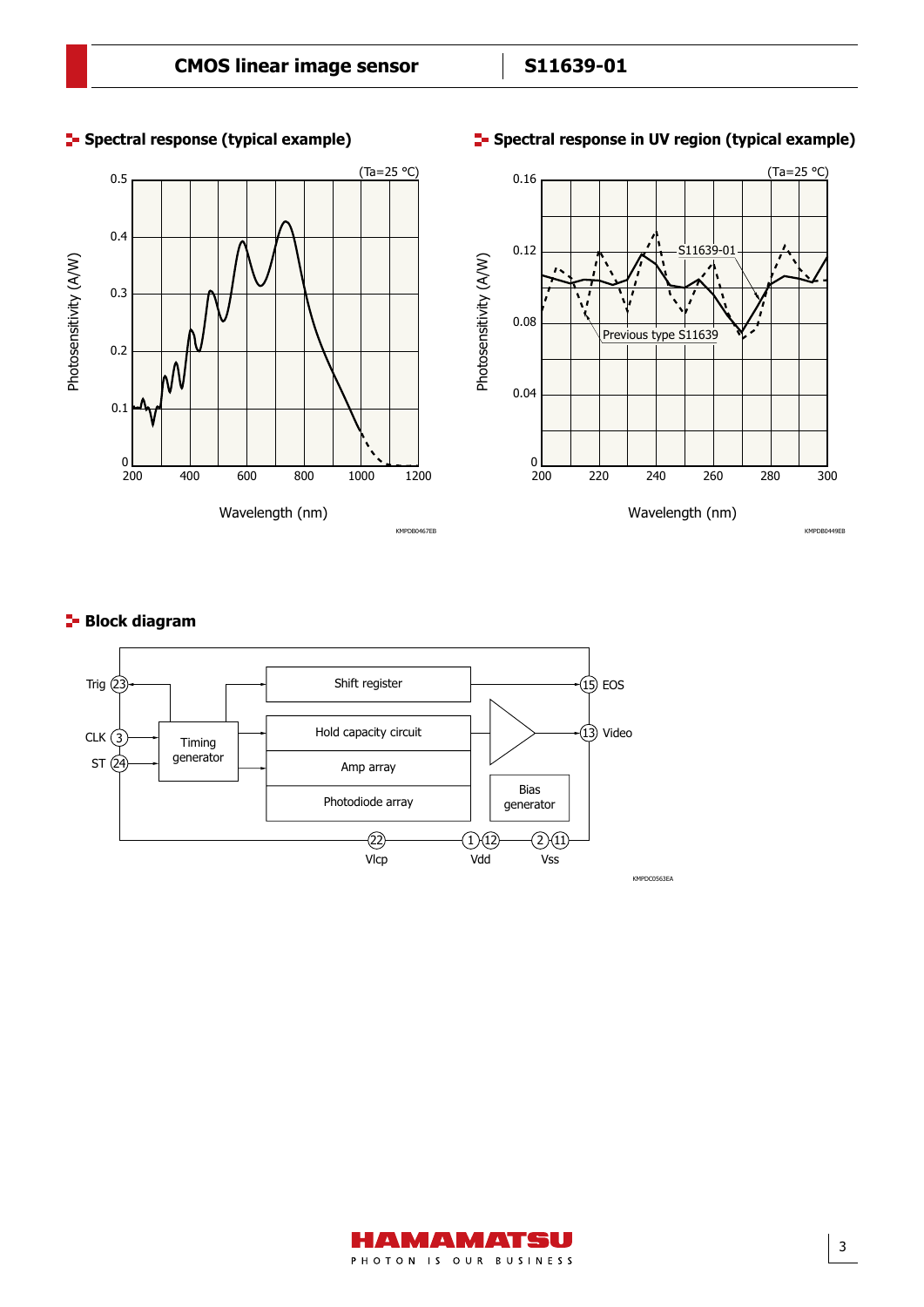

# **Spectral response (typical example) Spectral response in UV region (typical example)**

# **Block diagram**



AMAMATSU PHOTON IS OUR BUSINESS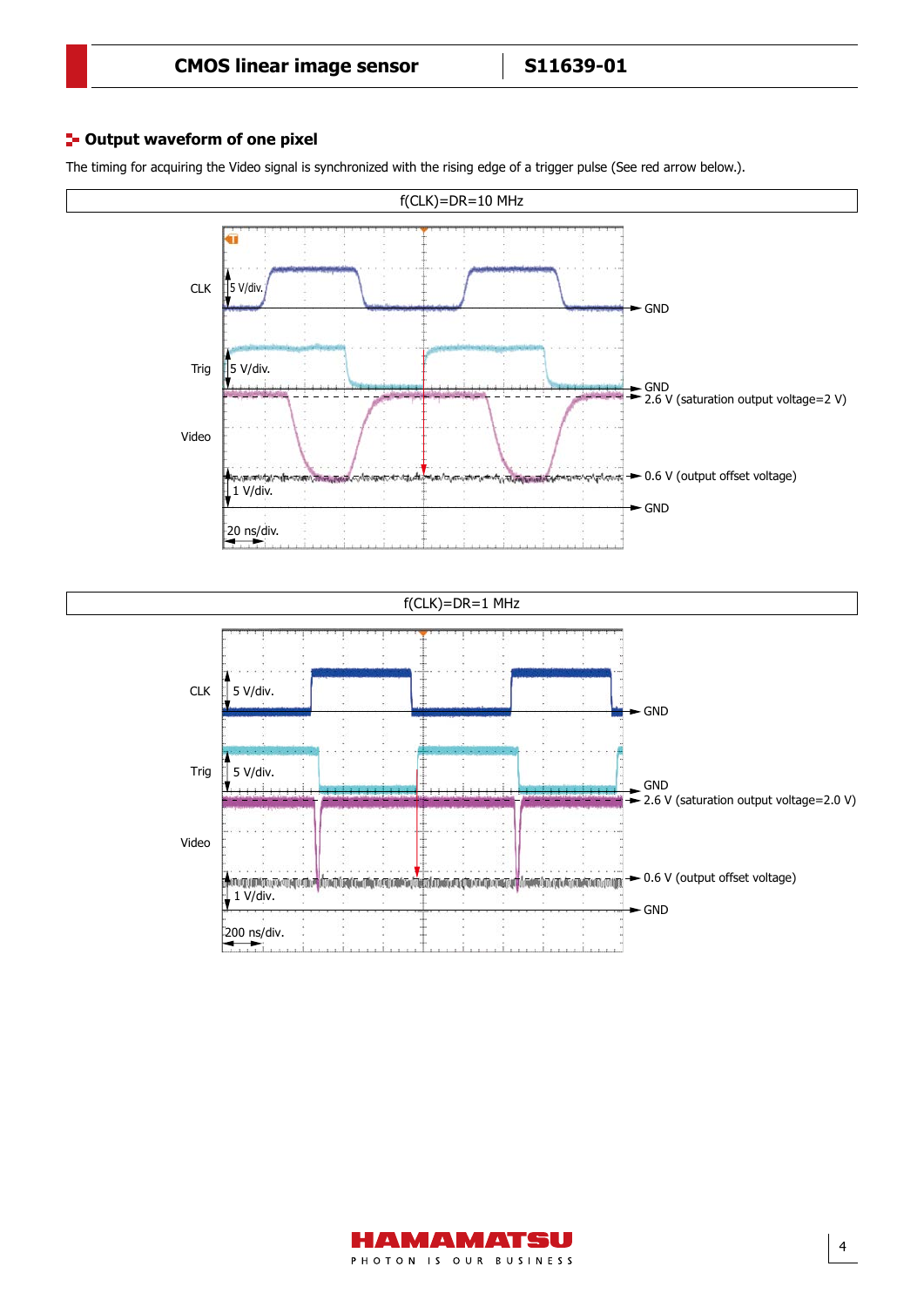# **<sup>1</sup>- Output waveform of one pixel**

The timing for acquiring the Video signal is synchronized with the rising edge of a trigger pulse (See red arrow below.).



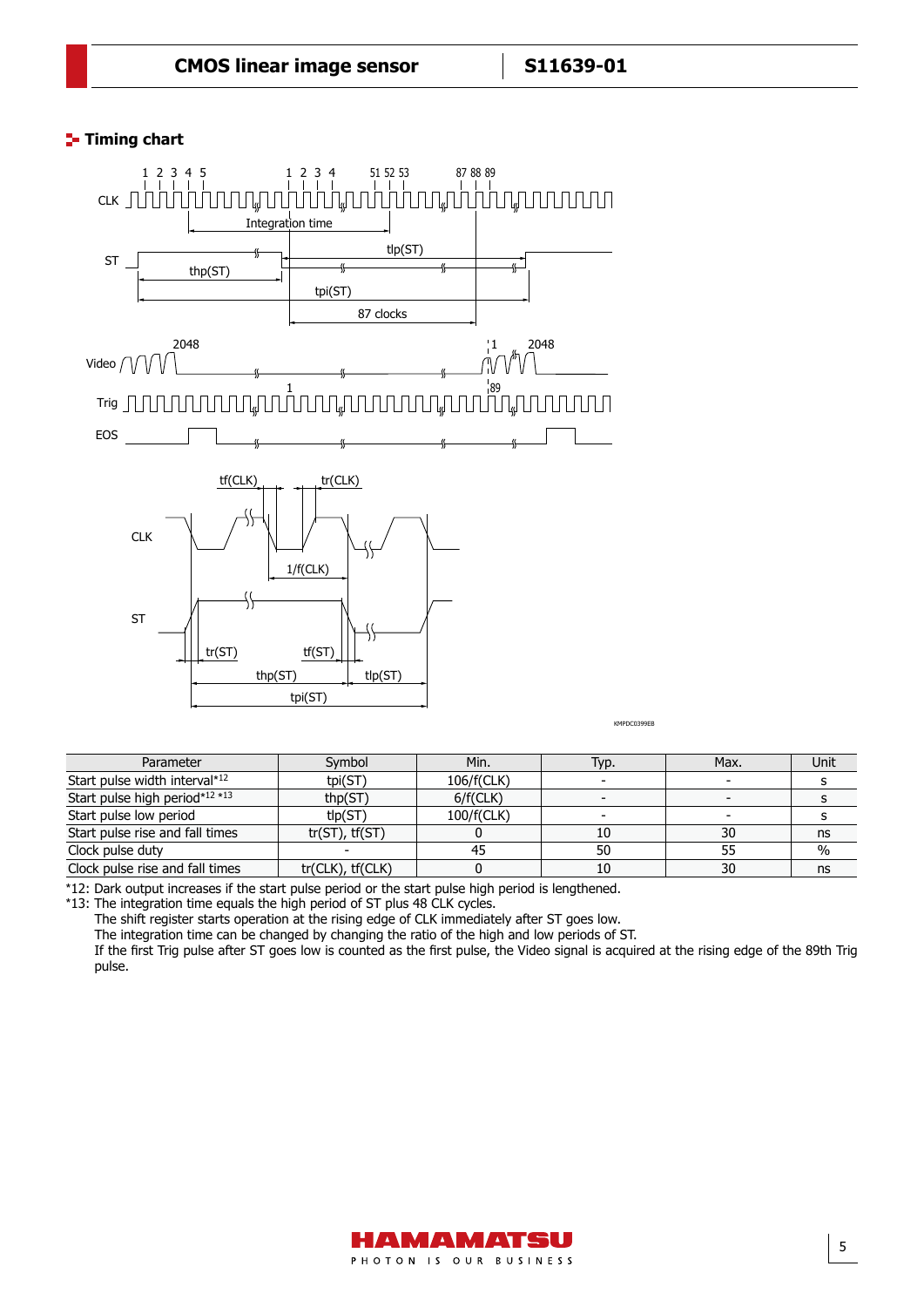# **T**- Timing chart



KMPDC0399EB

| Parameter                       | Symbol                | Min.       | Typ. | Max. | Unit |
|---------------------------------|-----------------------|------------|------|------|------|
| Start pulse width interval*12   | tpi(ST)               | 106/f(CLK) |      |      |      |
| Start pulse high period*12 *13  | thp(ST)               | 6/f(CLK)   |      |      |      |
| Start pulse low period          | tlp(ST)               | 100/f(CLK) |      |      |      |
| Start pulse rise and fall times | $tr(ST)$ , $tf(ST)$   |            | 10   | 30   | ns   |
| Clock pulse duty                |                       | 45         | 50   | 55   | $\%$ |
| Clock pulse rise and fall times | $tr(CLK)$ , $tf(CLK)$ |            | 10   | 30   | ns   |

\*12: Dark output increases if the start pulse period or the start pulse high period is lengthened.

\*13: The integration time equals the high period of ST plus 48 CLK cycles.

The shift register starts operation at the rising edge of CLK immediately after ST goes low.

The integration time can be changed by changing the ratio of the high and low periods of ST.

If the first Trig pulse after ST goes low is counted as the first pulse, the Video signal is acquired at the rising edge of the 89th Trig pulse.

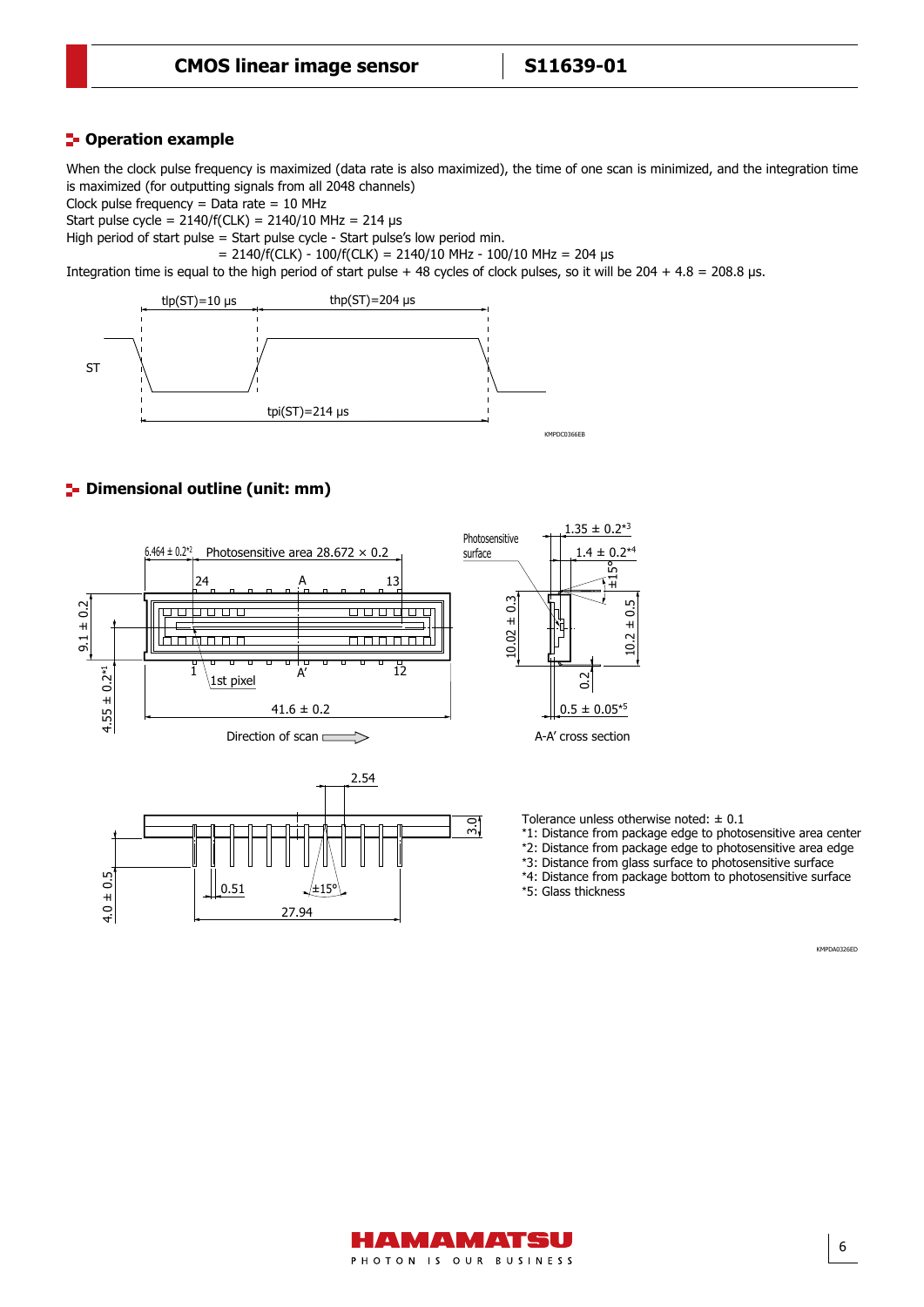# **P**-Operation example

When the clock pulse frequency is maximized (data rate is also maximized), the time of one scan is minimized, and the integration time is maximized (for outputting signals from all 2048 channels)

Clock pulse frequency = Data rate =  $10$  MHz

Start pulse cycle =  $2140/f(CLK) = 2140/10 MHz = 214 \text{ }\mu\text{s}$ 

High period of start pulse = Start pulse cycle - Start pulse's low period min.

 $= 2140/f(CLK) - 100/f(CLK) = 2140/10 MHz - 100/10 MHz = 204 \text{ }\mu\text{s}$ 

Integration time is equal to the high period of start pulse + 48 cycles of clock pulses, so it will be  $204 + 4.8 = 208.8$  µs.



# **P**- Dimensional outline (unit: mm)







- \*1: Distance from package edge to photosensitive area center
- \*2: Distance from package edge to photosensitive area edge
- \*3: Distance from glass surface to photosensitive surface
- \*4: Distance from package bottom to photosensitive surface
- \*5: Glass thickness

KMPDA0326ED

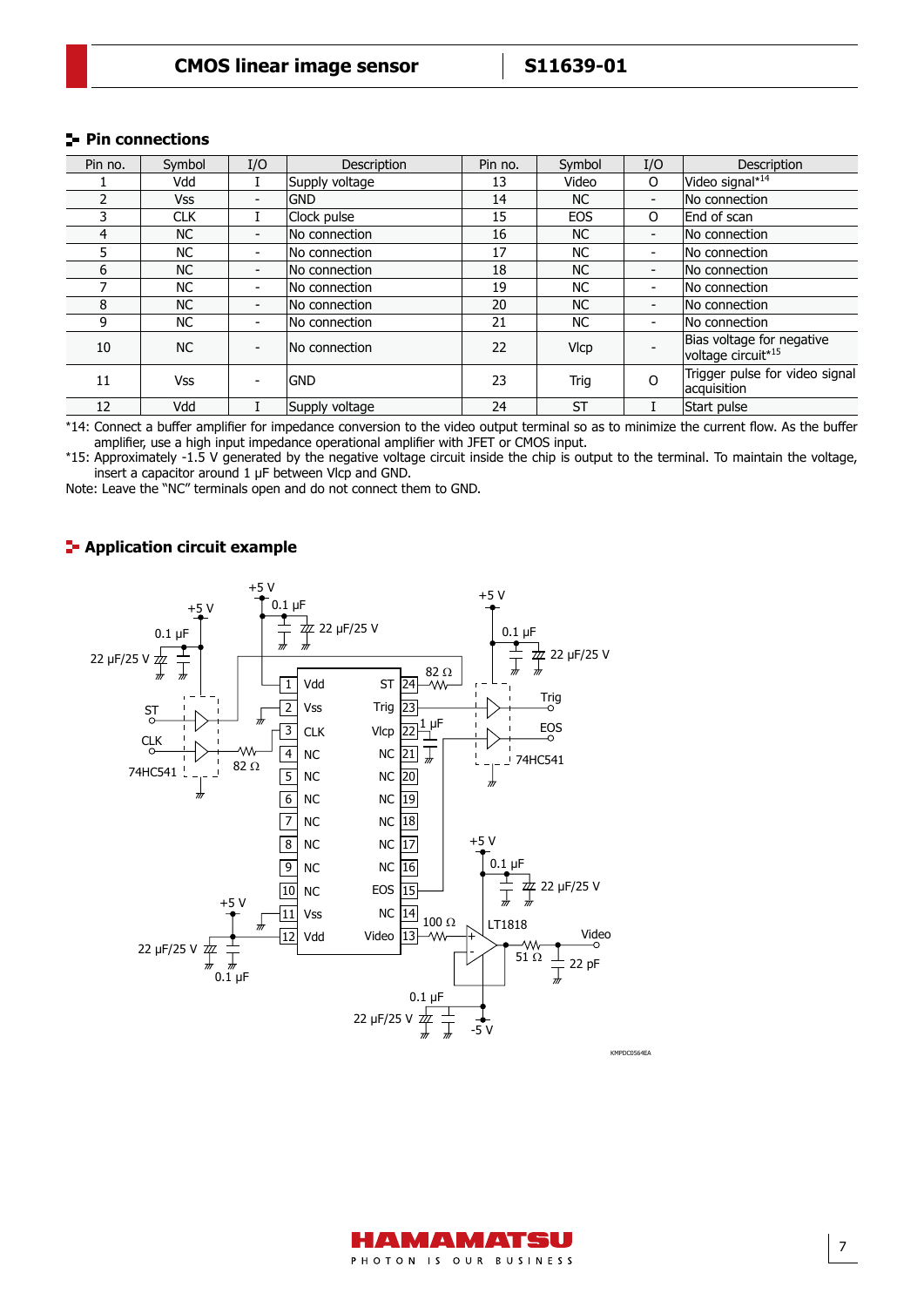# **Pin connections**

| Pin no. | Symbol     | I/O                      | Description    | Pin no. | Symbol      | I/O                      | <b>Description</b>                                          |
|---------|------------|--------------------------|----------------|---------|-------------|--------------------------|-------------------------------------------------------------|
|         | Vdd        |                          | Supply voltage | 13      | Video       | $\circ$                  | Video signal* <sup>14</sup>                                 |
|         | Vss        | $\overline{\phantom{a}}$ | <b>GND</b>     | 14      | <b>NC</b>   | $\overline{\phantom{a}}$ | No connection                                               |
|         | <b>CLK</b> |                          | Clock pulse    | 15      | <b>EOS</b>  | $\circ$                  | End of scan                                                 |
| 4       | <b>NC</b>  | ۰.                       | No connection  | 16      | <b>NC</b>   | $\blacksquare$           | No connection                                               |
|         | NC.        | Ξ.                       | No connection  | 17      | <b>NC</b>   | $\overline{\phantom{0}}$ | No connection                                               |
| 6       | <b>NC</b>  | $\overline{\phantom{a}}$ | No connection  | 18      | <b>NC</b>   | $\overline{\phantom{a}}$ | No connection                                               |
|         | NC.        | $\overline{\phantom{0}}$ | No connection  | 19      | <b>NC</b>   | $\overline{\phantom{a}}$ | No connection                                               |
| 8       | <b>NC</b>  | $\overline{\phantom{0}}$ | No connection  | 20      | <b>NC</b>   | $\overline{\phantom{a}}$ | No connection                                               |
| 9       | NC.        | $\overline{\phantom{0}}$ | No connection  | 21      | NC.         | $\overline{\phantom{a}}$ | No connection                                               |
| 10      | <b>NC</b>  | $\overline{\phantom{0}}$ | No connection  | 22      | <b>VIcp</b> |                          | Bias voltage for negative<br>voltage circuit* <sup>15</sup> |
| 11      | Vss        |                          | <b>GND</b>     | 23      | Trig        | 0                        | Trigger pulse for video signal<br>acquisition               |
| 12      | Vdd        |                          | Supply voltage | 24      | <b>ST</b>   |                          | Start pulse                                                 |

\*14: Connect a buffer amplifier for impedance conversion to the video output terminal so as to minimize the current flow. As the buffer amplifier, use a high input impedance operational amplifier with JFET or CMOS input.

\*15: Approximately -1.5 V generated by the negative voltage circuit inside the chip is output to the terminal. To maintain the voltage, insert a capacitor around 1 μF between Vlcp and GND.

Note: Leave the "NC" terminals open and do not connect them to GND.

# **<sup>1</sup>** Application circuit example



HAMAMATSU PHOTON IS OUR BUSINESS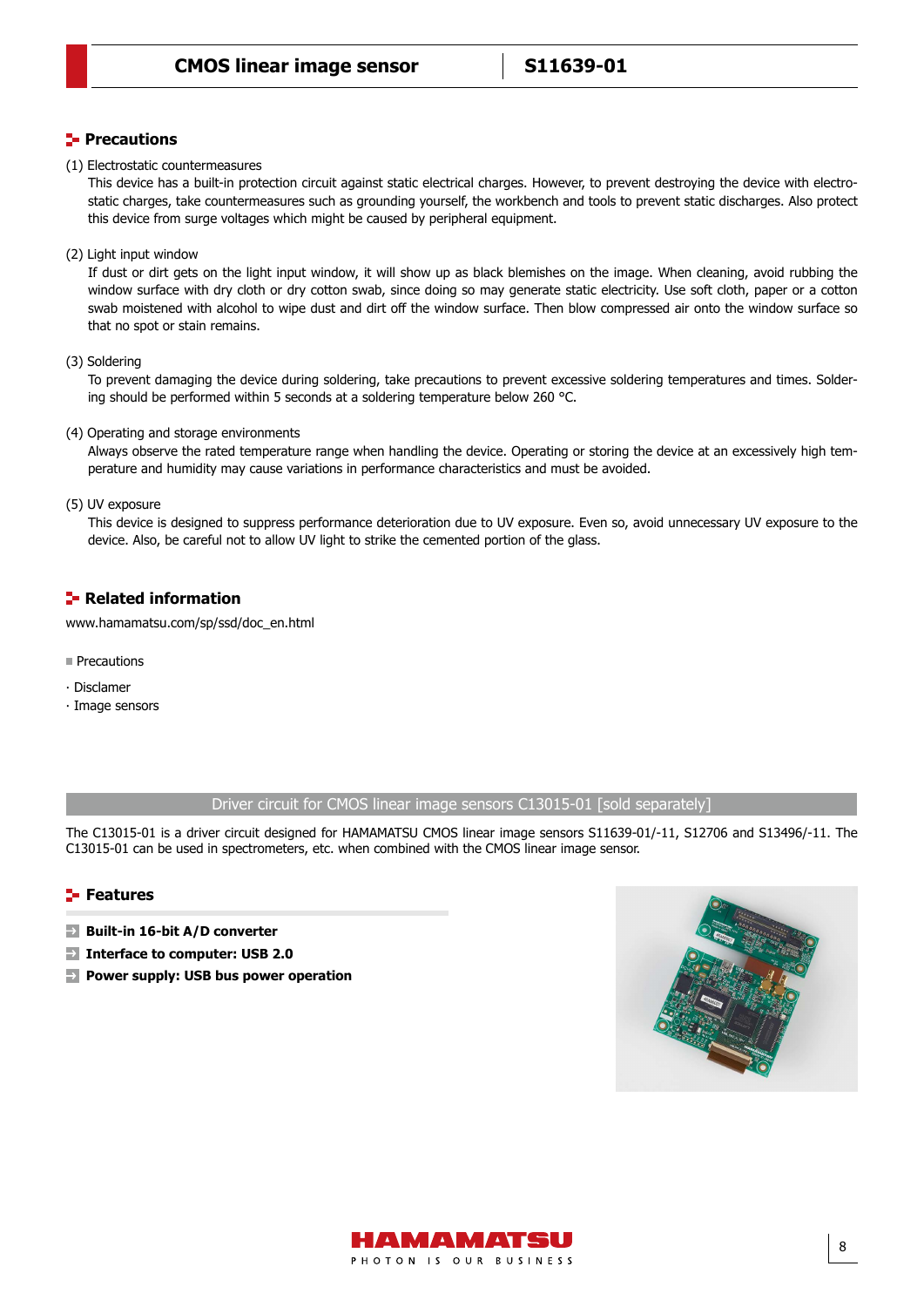# **Precautions**

(1) Electrostatic countermeasures

This device has a built-in protection circuit against static electrical charges. However, to prevent destroying the device with electrostatic charges, take countermeasures such as grounding yourself, the workbench and tools to prevent static discharges. Also protect this device from surge voltages which might be caused by peripheral equipment.

(2) Light input window

If dust or dirt gets on the light input window, it will show up as black blemishes on the image. When cleaning, avoid rubbing the window surface with dry cloth or dry cotton swab, since doing so may generate static electricity. Use soft cloth, paper or a cotton swab moistened with alcohol to wipe dust and dirt off the window surface. Then blow compressed air onto the window surface so that no spot or stain remains.

## (3) Soldering

To prevent damaging the device during soldering, take precautions to prevent excessive soldering temperatures and times. Soldering should be performed within 5 seconds at a soldering temperature below 260 °C.

## (4) Operating and storage environments

Always observe the rated temperature range when handling the device. Operating or storing the device at an excessively high temperature and humidity may cause variations in performance characteristics and must be avoided.

## (5) UV exposure

This device is designed to suppress performance deterioration due to UV exposure. Even so, avoid unnecessary UV exposure to the device. Also, be careful not to allow UV light to strike the cemented portion of the glass.

# **E**-Related information

www.hamamatsu.com/sp/ssd/doc\_en.html

- **Precautions**
- ∙ Disclamer
- ∙ Image sensors

### Driver circuit for CMOS linear image sensors C13015-01 [sold separately]

The C13015-01 is a driver circuit designed for HAMAMATSU CMOS linear image sensors S11639-01/-11, S12706 and S13496/-11. The C13015-01 can be used in spectrometers, etc. when combined with the CMOS linear image sensor.

# **Features**

- **Built-in 16-bit A/D converter**
- **Interface to computer: USB 2.0**
- **Power supply: USB bus power operation**